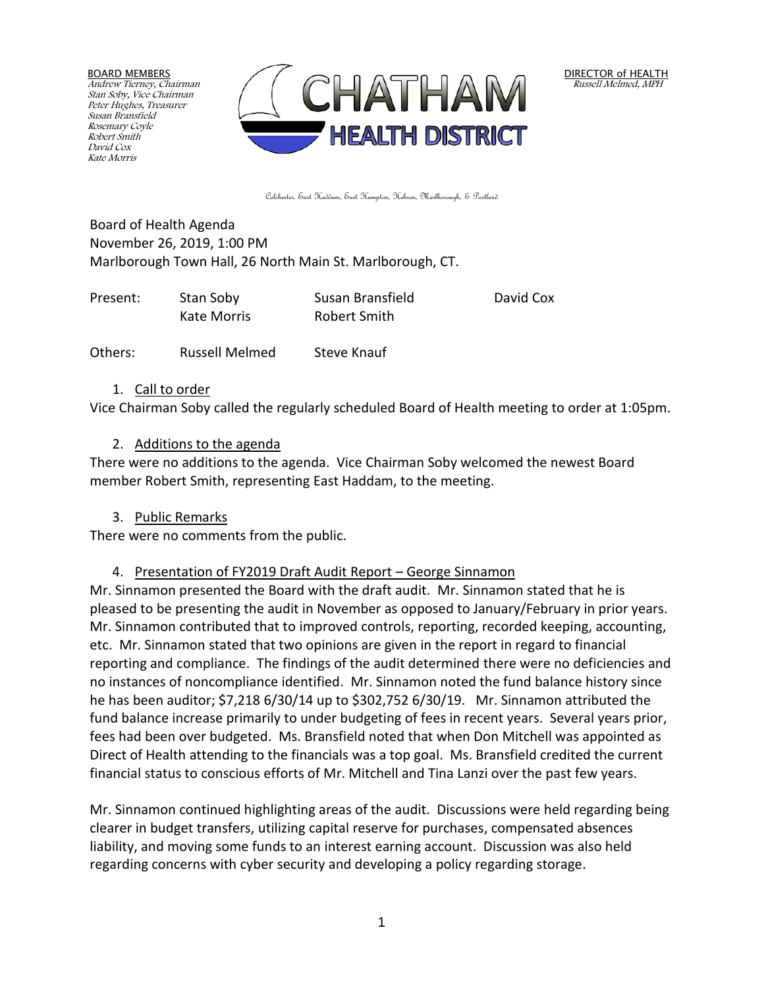BOARD MEMBERS Andrew Tierney, Chairman Stan Soby, Vice Chairman Peter Hughes, Treasurer Susan Bransfield Rosemary Coyle Robert Smith David Cox Kate Morris



Colchester, East Haddam, East Hampton, Hebron, Marlborough, & Portland

Board of Health Agenda November 26, 2019, 1:00 PM Marlborough Town Hall, 26 North Main St. Marlborough, CT.

| Present: | Stan Soby   | Susan Bransfield | David Cox |
|----------|-------------|------------------|-----------|
|          | Kate Morris | Robert Smith     |           |
|          |             |                  |           |

Others: Russell Melmed Steve Knauf

#### 1. Call to order

Vice Chairman Soby called the regularly scheduled Board of Health meeting to order at 1:05pm.

#### 2. Additions to the agenda

There were no additions to the agenda. Vice Chairman Soby welcomed the newest Board member Robert Smith, representing East Haddam, to the meeting.

#### 3. Public Remarks

There were no comments from the public.

#### 4. Presentation of FY2019 Draft Audit Report – George Sinnamon

Mr. Sinnamon presented the Board with the draft audit. Mr. Sinnamon stated that he is pleased to be presenting the audit in November as opposed to January/February in prior years. Mr. Sinnamon contributed that to improved controls, reporting, recorded keeping, accounting, etc. Mr. Sinnamon stated that two opinions are given in the report in regard to financial reporting and compliance. The findings of the audit determined there were no deficiencies and no instances of noncompliance identified. Mr. Sinnamon noted the fund balance history since he has been auditor; \$7,218 6/30/14 up to \$302,752 6/30/19. Mr. Sinnamon attributed the fund balance increase primarily to under budgeting of fees in recent years. Several years prior, fees had been over budgeted. Ms. Bransfield noted that when Don Mitchell was appointed as Direct of Health attending to the financials was a top goal. Ms. Bransfield credited the current financial status to conscious efforts of Mr. Mitchell and Tina Lanzi over the past few years.

Mr. Sinnamon continued highlighting areas of the audit. Discussions were held regarding being clearer in budget transfers, utilizing capital reserve for purchases, compensated absences liability, and moving some funds to an interest earning account. Discussion was also held regarding concerns with cyber security and developing a policy regarding storage.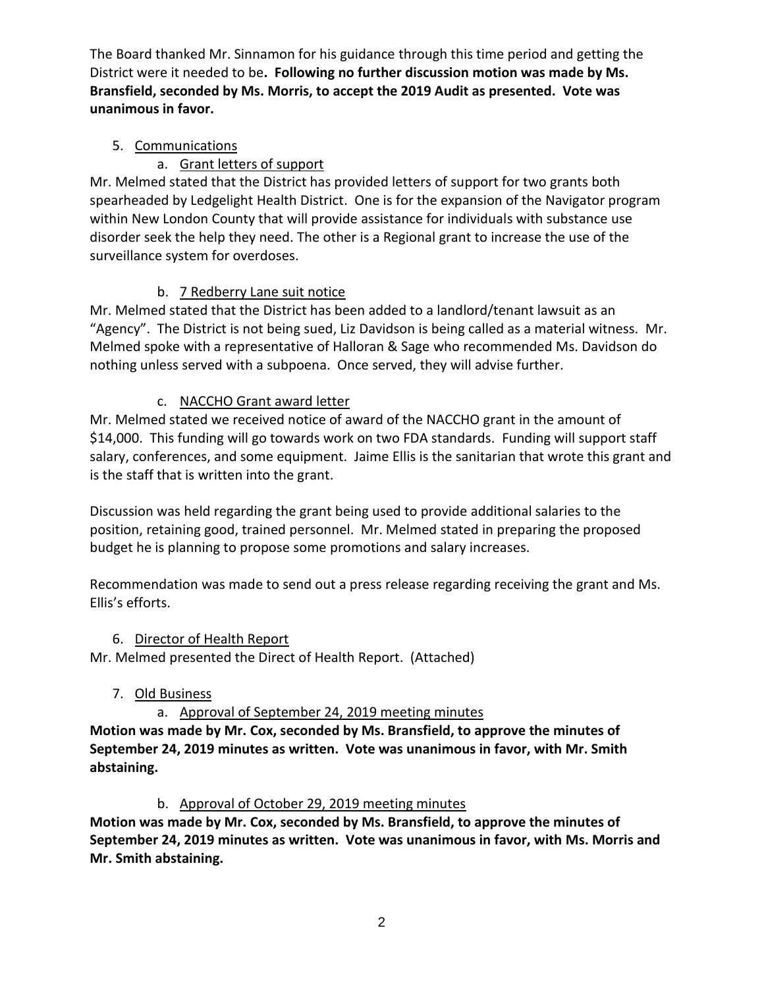The Board thanked Mr. Sinnamon for his guidance through this time period and getting the District were it needed to be**. Following no further discussion motion was made by Ms. Bransfield, seconded by Ms. Morris, to accept the 2019 Audit as presented. Vote was unanimous in favor.**

# 5. Communications

### a. Grant letters of support

Mr. Melmed stated that the District has provided letters of support for two grants both spearheaded by Ledgelight Health District. One is for the expansion of the Navigator program within New London County that will provide assistance for individuals with substance use disorder seek the help they need. The other is a Regional grant to increase the use of the surveillance system for overdoses.

# b. 7 Redberry Lane suit notice

Mr. Melmed stated that the District has been added to a landlord/tenant lawsuit as an "Agency". The District is not being sued, Liz Davidson is being called as a material witness. Mr. Melmed spoke with a representative of Halloran & Sage who recommended Ms. Davidson do nothing unless served with a subpoena. Once served, they will advise further.

# c. NACCHO Grant award letter

Mr. Melmed stated we received notice of award of the NACCHO grant in the amount of \$14,000. This funding will go towards work on two FDA standards. Funding will support staff salary, conferences, and some equipment. Jaime Ellis is the sanitarian that wrote this grant and is the staff that is written into the grant.

Discussion was held regarding the grant being used to provide additional salaries to the position, retaining good, trained personnel. Mr. Melmed stated in preparing the proposed budget he is planning to propose some promotions and salary increases.

Recommendation was made to send out a press release regarding receiving the grant and Ms. Ellis's efforts.

### 6. Director of Health Report

Mr. Melmed presented the Direct of Health Report. (Attached)

# 7. Old Business

# a. Approval of September 24, 2019 meeting minutes

**Motion was made by Mr. Cox, seconded by Ms. Bransfield, to approve the minutes of September 24, 2019 minutes as written. Vote was unanimous in favor, with Mr. Smith abstaining.**

### b. Approval of October 29, 2019 meeting minutes

**Motion was made by Mr. Cox, seconded by Ms. Bransfield, to approve the minutes of September 24, 2019 minutes as written. Vote was unanimous in favor, with Ms. Morris and Mr. Smith abstaining.**